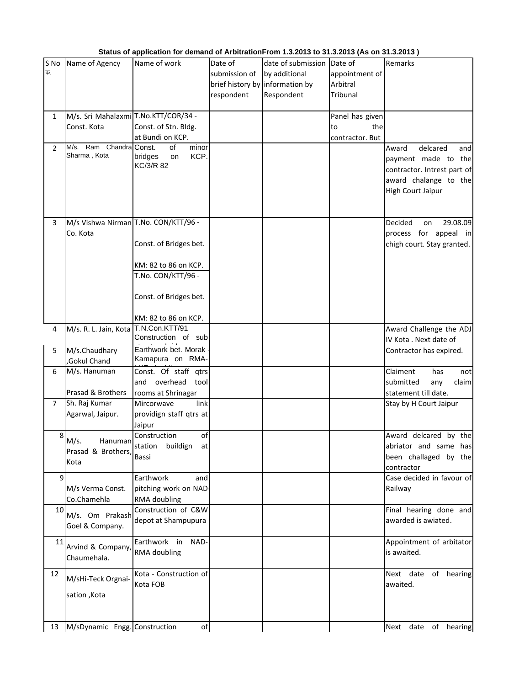| S No<br>क.     | Name of Agency                                                         | Name of work                                                                                                                                                   | Date of<br>submission of<br>respondent | date of submission Date of<br>by additional<br>brief history by information by<br>Respondent | appointment of<br>Arbitral<br>Tribunal          | Remarks                                                                                                                             |
|----------------|------------------------------------------------------------------------|----------------------------------------------------------------------------------------------------------------------------------------------------------------|----------------------------------------|----------------------------------------------------------------------------------------------|-------------------------------------------------|-------------------------------------------------------------------------------------------------------------------------------------|
| $\mathbf{1}$   | M/s. Sri Mahalaxmi T.No.KTT/COR/34 -<br>Const. Kota                    | Const. of Stn. Bldg.<br>at Bundi on KCP.                                                                                                                       |                                        |                                                                                              | Panel has given<br>the<br>to<br>contractor. But |                                                                                                                                     |
| $\overline{2}$ | M/s. Ram Chandra Const.<br>Sharma, Kota                                | of<br>minor<br>KCP.<br>bridges<br>on<br>KC/3/R 82                                                                                                              |                                        |                                                                                              |                                                 | delcared<br>Award<br>and<br>payment made to the<br>contractor. Intrest part of<br>award chalange to the<br><b>High Court Jaipur</b> |
| 3              | Co. Kota                                                               | M/s Vishwa Nirman T.No. CON/KTT/96 -<br>Const. of Bridges bet.<br>KM: 82 to 86 on KCP.<br>T.No. CON/KTT/96 -<br>Const. of Bridges bet.<br>KM: 82 to 86 on KCP. |                                        |                                                                                              |                                                 | Decided<br>29.08.09<br>on<br>process for appeal in<br>chigh court. Stay granted.                                                    |
| 4              | M/s. R. L. Jain, Kota T.N.Con.KTT/91                                   |                                                                                                                                                                |                                        |                                                                                              |                                                 | Award Challenge the ADJ                                                                                                             |
| 5              | M/s.Chaudhary<br>Gokul Chand                                           | Construction of sub<br>Earthwork bet. Morak<br>Kamapura on RMA-                                                                                                |                                        |                                                                                              |                                                 | IV Kota . Next date of<br>Contractor has expired.                                                                                   |
| 6<br>7         | M/s. Hanuman<br>Prasad & Brothers<br>Sh. Raj Kumar<br>Agarwal, Jaipur. | Const. Of staff qtrs<br>and overhead tool<br>rooms at Shrinagar<br>Mircorwave<br>link<br>providign staff qtrs at                                               |                                        |                                                                                              |                                                 | Claiment<br>has<br>not<br>submitted<br>claim<br>any<br>statement till date.<br>Stay by H Court Jaipur                               |
| 8              | M/s.<br>Hanuman<br>Prasad & Brothers,<br>Kota                          | Jaipur<br>Construction<br>of<br>station buildign at<br>Bassi                                                                                                   |                                        |                                                                                              |                                                 | Award delcared by the<br>abriator and same has<br>been challaged by the<br>contractor                                               |
| 9              | M/s Verma Const.<br>Co.Chamehla                                        | Earthwork<br>and<br>pitching work on NAD<br>RMA doubling                                                                                                       |                                        |                                                                                              |                                                 | Case decided in favour of<br>Railway                                                                                                |
| 10             | M/s. Om Prakash<br>Goel & Company.                                     | Construction of C&W<br>depot at Shampupura                                                                                                                     |                                        |                                                                                              |                                                 | Final hearing done and<br>awarded is awiated.                                                                                       |
| 11             | Arvind & Company,<br>Chaumehala.                                       | Earthwork in<br>NAD-<br>RMA doubling                                                                                                                           |                                        |                                                                                              |                                                 | Appointment of arbitator<br>is awaited.                                                                                             |
| 12             | M/sHi-Teck Orgnai-<br>sation, Kota                                     | Kota - Construction of<br>Kota FOB                                                                                                                             |                                        |                                                                                              |                                                 | date of hearing<br>Next<br>awaited.                                                                                                 |
| 13             | M/sDynamic Engg. Construction                                          | of                                                                                                                                                             |                                        |                                                                                              |                                                 | Next<br>date of hearing                                                                                                             |

## **Status of application for demand of ArbitrationFrom 1.3.2013 to 31.3.2013 (As on 31.3.2013 )**